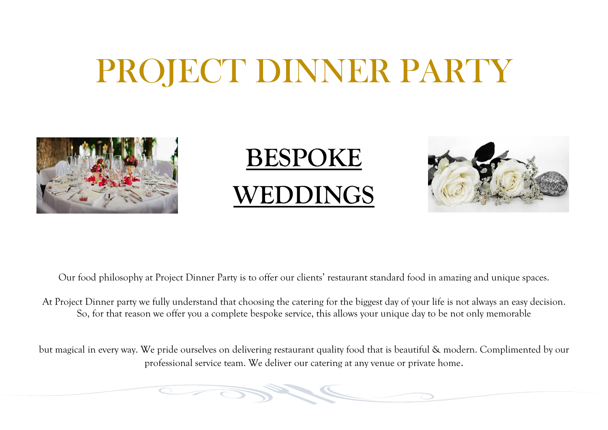# PROJECT DINNER PARTY







Our food philosophy at Project Dinner Party is to offer our clients' restaurant standard food in amazing and unique spaces.

At Project Dinner party we fully understand that choosing the catering for the biggest day of your life is not always an easy decision. So, for that reason we offer you a complete bespoke service, this allows your unique day to be not only memorable

but magical in every way. We pride ourselves on delivering restaurant quality food that is beautiful & modern. Complimented by our professional service team. We deliver our catering at any venue or private home.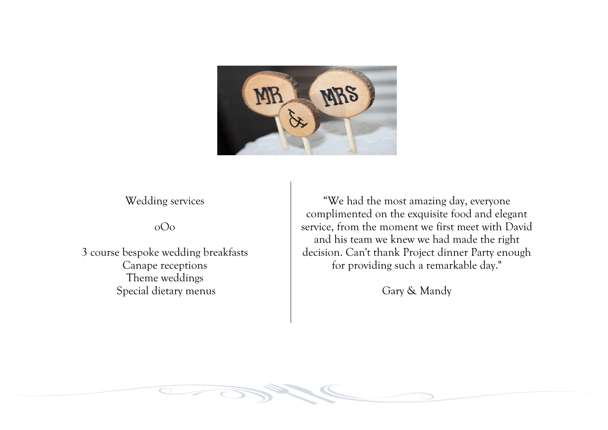

Wedding services

oOo

3 course bespoke wedding breakfasts Canape receptions Theme weddings Special dietary menus

"We had the most amazing day, everyone complimented on the exquisite food and elegant service, from the moment we first meet with David and his team we knew we had made the right decision. Can't thank Project dinner Party enough for providing such a remarkable day."

Gary & Mandy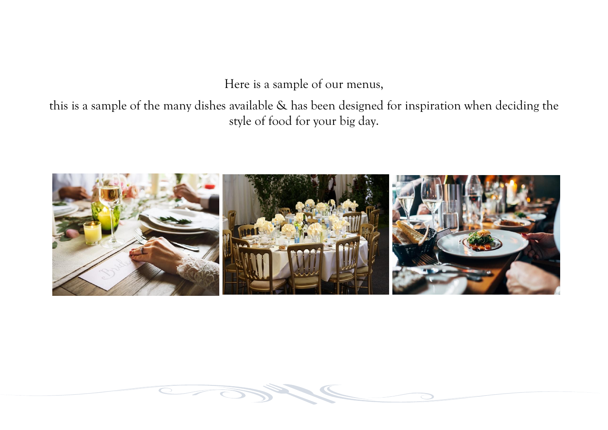Here is a sample of our menus,

this is a sample of the many dishes available & has been designed for inspiration when deciding the style of food for your big day.



 $\overline{\bullet}$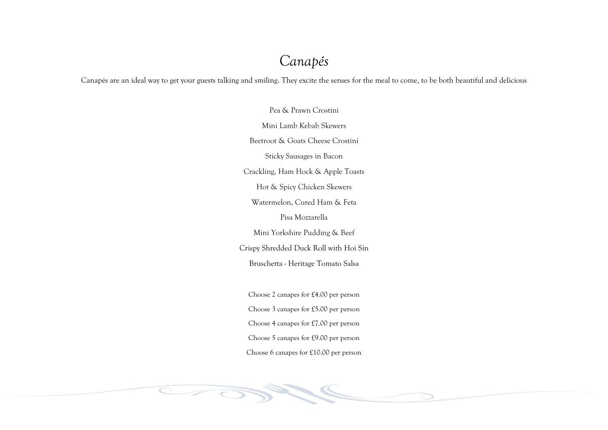## *Canapés*

Canapés are an ideal way to get your guests talking and smiling. They excite the senses for the meal to come, to be both beautiful and delicious

Pea & Prawn Crostini Mini Lamb Kebab Skewers Beetroot & Goats Cheese Crostini Sticky Sausages in Bacon Crackling, Ham Hock & Apple Toasts Hot & Spicy Chicken Skewers Watermelon, Cured Ham & Feta Pisa Mozzarella Mini Yorkshire Pudding & Beef Crispy Shredded Duck Roll with Hoi Sin Bruschetta - Heritage Tomato Salsa Choose 2 canapes for £4.00 per person Choose 3 canapes for £5.00 per person Choose 4 canapes for £7.00 per person Choose 5 canapes for £9.00 per person Choose 6 canapes for £10.00 per person

 $\overline{\phantom{0}}$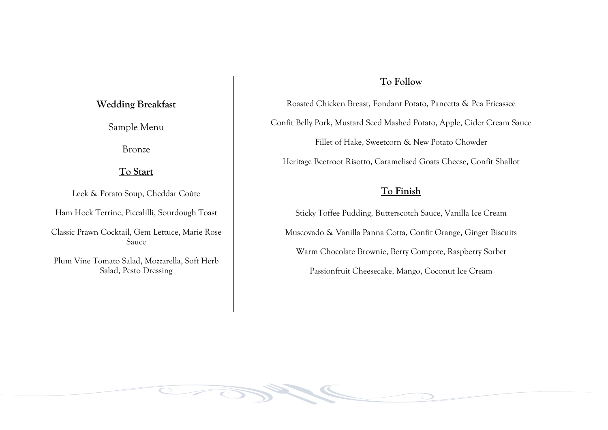#### **To Follow**

Roasted Chicken Breast, Fondant Potato, Pancetta & Pea Fricassee Confit Belly Pork, Mustard Seed Mashed Potato, Apple, Cider Cream Sauce Fillet of Hake, Sweetcorn & New Potato Chowder Heritage Beetroot Risotto, Caramelised Goats Cheese, Confit Shallot

#### **To Finish**

Sticky Toffee Pudding, Butterscotch Sauce, Vanilla Ice Cream Muscovado & Vanilla Panna Cotta, Confit Orange, Ginger Biscuits Warm Chocolate Brownie, Berry Compote, Raspberry Sorbet Passionfruit Cheesecake, Mango, Coconut Ice Cream

#### **Wedding Breakfast**

Sample Menu

Bronze

#### **To Start**

Leek & Potato Soup, Cheddar Coúte

Ham Hock Terrine, Piccalilli, Sourdough Toast

Classic Prawn Cocktail, Gem Lettuce, Marie Rose Sauce

Plum Vine Tomato Salad, Mozzarella, Soft Herb Salad, Pesto Dressing

 $\overline{\textstyle\bigcirc}$   $\overline{\textstyle\bigcirc}$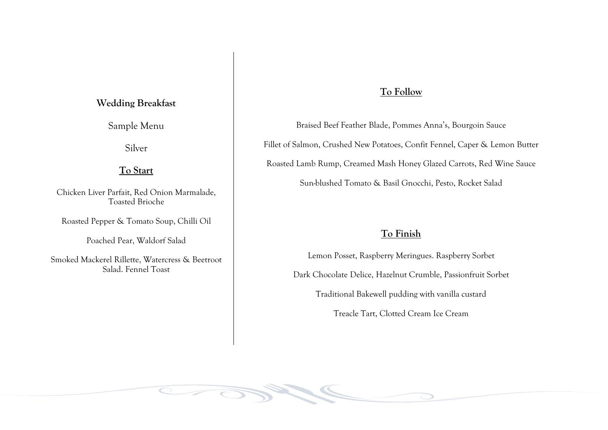#### **Wedding Breakfast**

Sample Menu

Silver

#### **To Start**

Chicken Liver Parfait, Red Onion Marmalade, Toasted Brioche

Roasted Pepper & Tomato Soup, Chilli Oil

Poached Pear, Waldorf Salad

Smoked Mackerel Rillette, Watercress & Beetroot Salad. Fennel Toast

 $\overline{\textstyle\bigcirc}$   $-$ 

#### **To Follow**

Braised Beef Feather Blade, Pommes Anna's, Bourgoin Sauce Fillet of Salmon, Crushed New Potatoes, Confit Fennel, Caper & Lemon Butter Roasted Lamb Rump, Creamed Mash Honey Glazed Carrots, Red Wine Sauce Sun-blushed Tomato & Basil Gnocchi, Pesto, Rocket Salad

#### **To Finish**

Lemon Posset, Raspberry Meringues. Raspberry Sorbet

Dark Chocolate Delice, Hazelnut Crumble, Passionfruit Sorbet

Traditional Bakewell pudding with vanilla custard

Treacle Tart, Clotted Cream Ice Cream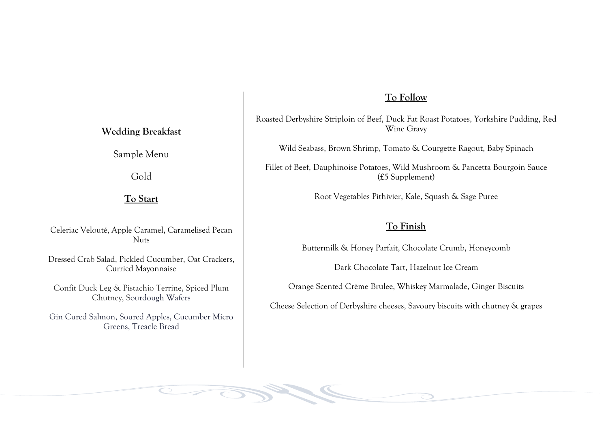#### **To Follow**

Roasted Derbyshire Striploin of Beef, Duck Fat Roast Potatoes, Yorkshire Pudding, Red Wine Gravy

Wild Seabass, Brown Shrimp, Tomato & Courgette Ragout, Baby Spinach

Fillet of Beef, Dauphinoise Potatoes, Wild Mushroom & Pancetta Bourgoin Sauce (£5 Supplement)

Root Vegetables Pithivier, Kale, Squash & Sage Puree

#### **To Finish**

Buttermilk & Honey Parfait, Chocolate Crumb, Honeycomb

Dark Chocolate Tart, Hazelnut Ice Cream

Orange Scented Crème Brulee, Whiskey Marmalade, Ginger Biscuits

Cheese Selection of Derbyshire cheeses, Savoury biscuits with chutney & grapes

**Wedding Breakfast**

Sample Menu

Gold

#### **To Start**

Celeriac Velouté, Apple Caramel, Caramelised Pecan Nuts

Dressed Crab Salad, Pickled Cucumber, Oat Crackers, Curried Mayonnaise

Confit Duck Leg & Pistachio Terrine, Spiced Plum Chutney, Sourdough Wafers

Gin Cured Salmon, Soured Apples, Cucumber Micro Greens, Treacle Bread

 $\overline{\textstyle\bigcirc}$  and  $\overline{\textstyle\bigcirc}$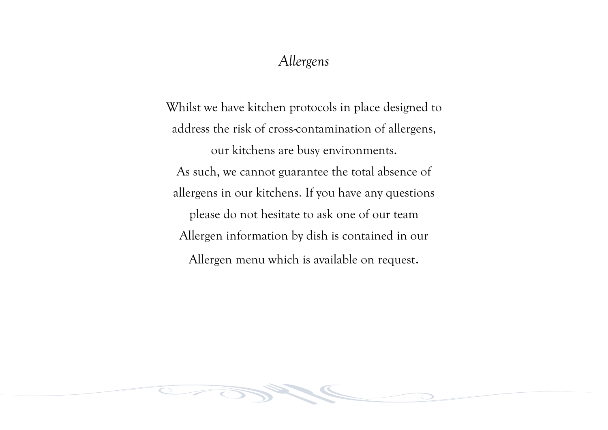### *Allergens*

Whilst we have kitchen protocols in place designed to address the risk of cross-contamination of allergens, our kitchens are busy environments. As such, we cannot guarantee the total absence of allergens in our kitchens. If you have any questions please do not hesitate to ask one of our team Allergen information by dish is contained in our Allergen menu which is available on request.

 $\overline{\bigcirc}$   $-$